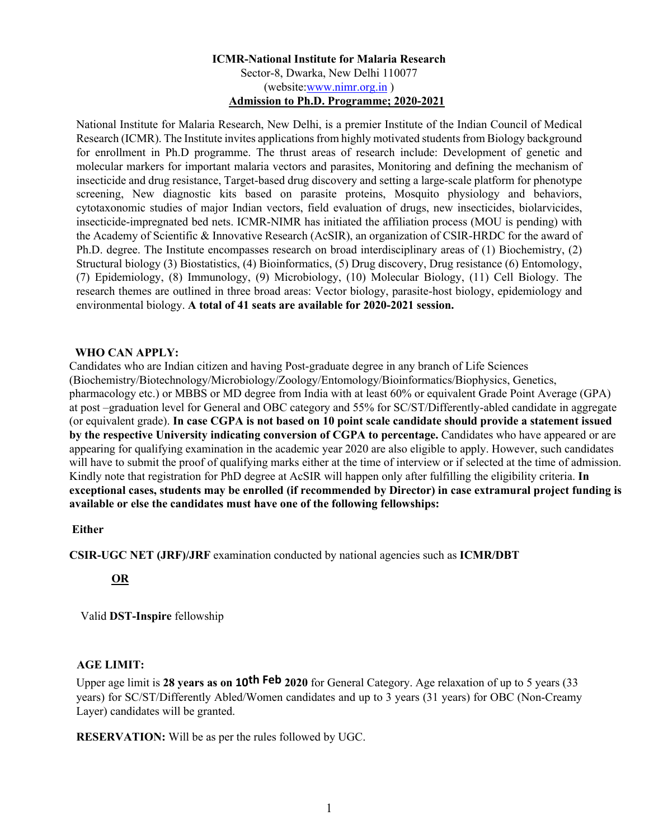## **ICMR-National Institute for Malaria Research**  Sector-8, Dwarka, New Delhi 110077 (website:www.nimr.org.in ) **Admission to Ph.D. Programme; 2020-2021**

National Institute for Malaria Research, New Delhi, is a premier Institute of the Indian Council of Medical Research (ICMR). The Institute invites applications from highly motivated students from Biology background for enrollment in Ph.D programme. The thrust areas of research include: Development of genetic and molecular markers for important malaria vectors and parasites, Monitoring and defining the mechanism of insecticide and drug resistance, Target-based drug discovery and setting a large-scale platform for phenotype screening, New diagnostic kits based on parasite proteins, Mosquito physiology and behaviors, cytotaxonomic studies of major Indian vectors, field evaluation of drugs, new insecticides, biolarvicides, insecticide-impregnated bed nets. ICMR-NIMR has initiated the affiliation process (MOU is pending) with the Academy of Scientific & Innovative Research (AcSIR), an organization of CSIR-HRDC for the award of Ph.D. degree. The Institute encompasses research on broad interdisciplinary areas of (1) Biochemistry, (2) Structural biology (3) Biostatistics, (4) Bioinformatics, (5) Drug discovery, Drug resistance (6) Entomology, (7) Epidemiology, (8) Immunology, (9) Microbiology, (10) Molecular Biology, (11) Cell Biology. The research themes are outlined in three broad areas: Vector biology, parasite-host biology, epidemiology and environmental biology. **A total of 41 seats are available for 2020-2021 session.**

#### **WHO CAN APPLY:**

Candidates who are Indian citizen and having Post-graduate degree in any branch of Life Sciences (Biochemistry/Biotechnology/Microbiology/Zoology/Entomology/Bioinformatics/Biophysics, Genetics, pharmacology etc.) or MBBS or MD degree from India with at least 60% or equivalent Grade Point Average (GPA) at post –graduation level for General and OBC category and 55% for SC/ST/Differently-abled candidate in aggregate (or equivalent grade). **In case CGPA is not based on 10 point scale candidate should provide a statement issued by the respective University indicating conversion of CGPA to percentage.** Candidates who have appeared or are appearing for qualifying examination in the academic year 2020 are also eligible to apply. However, such candidates will have to submit the proof of qualifying marks either at the time of interview or if selected at the time of admission. Kindly note that registration for PhD degree at AcSIR will happen only after fulfilling the eligibility criteria. **In exceptional cases, students may be enrolled (if recommended by Director) in case extramural project funding is available or else the candidates must have one of the following fellowships:** 

#### **Either**

**CSIR-UGC NET (JRF)/JRF** examination conducted by national agencies such as **ICMR/DBT** 

# **OR**

Valid **DST-Inspire** fellowship

# **AGE LIMIT:**

Upper age limit is **28 years as on 10th Feb 2020** for General Category. Age relaxation of up to 5 years (33 years) for SC/ST/Differently Abled/Women candidates and up to 3 years (31 years) for OBC (Non-Creamy Layer) candidates will be granted.

**RESERVATION:** Will be as per the rules followed by UGC.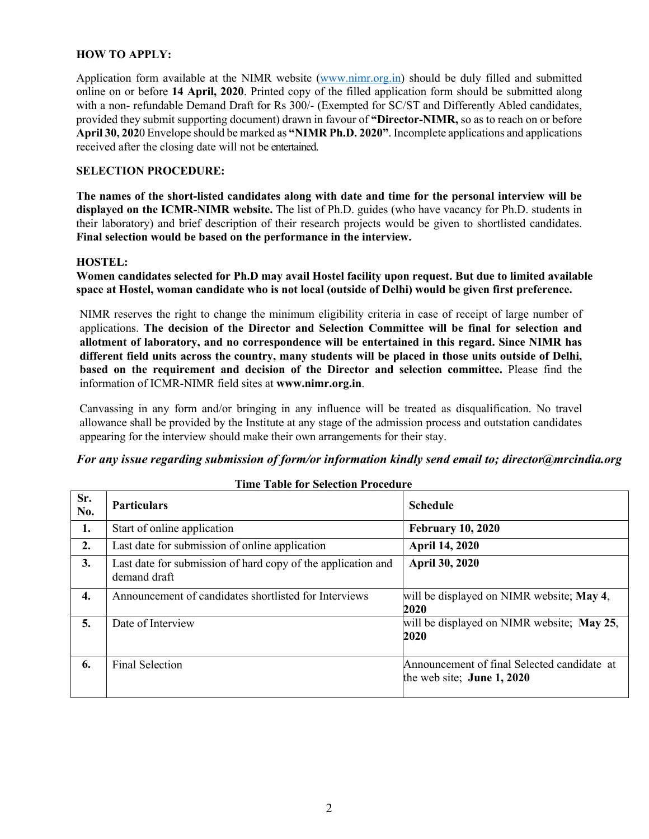## **HOW TO APPLY:**

Application form available at the NIMR website (www.nimr.org.in) should be duly filled and submitted online on or before **14 April, 2020**. Printed copy of the filled application form should be submitted along with a non- refundable Demand Draft for Rs 300/- (Exempted for SC/ST and Differently Abled candidates, provided they submit supporting document) drawn in favour of **"Director-NIMR,** so as to reach on or before **April 30, 202**0 Envelope should be marked as **"NIMR Ph.D. 2020"**. Incomplete applications and applications received after the closing date will not be entertained.

## **SELECTION PROCEDURE:**

**The names of the short-listed candidates along with date and time for the personal interview will be displayed on the ICMR-NIMR website.** The list of Ph.D. guides (who have vacancy for Ph.D. students in their laboratory) and brief description of their research projects would be given to shortlisted candidates. **Final selection would be based on the performance in the interview.**

#### **HOSTEL:**

**Women candidates selected for Ph.D may avail Hostel facility upon request. But due to limited available space at Hostel, woman candidate who is not local (outside of Delhi) would be given first preference.** 

NIMR reserves the right to change the minimum eligibility criteria in case of receipt of large number of applications. **The decision of the Director and Selection Committee will be final for selection and allotment of laboratory, and no correspondence will be entertained in this regard. Since NIMR has different field units across the country, many students will be placed in those units outside of Delhi, based on the requirement and decision of the Director and selection committee.** Please find the information of ICMR-NIMR field sites at **www.nimr.org.in**.

Canvassing in any form and/or bringing in any influence will be treated as disqualification. No travel allowance shall be provided by the Institute at any stage of the admission process and outstation candidates appearing for the interview should make their own arrangements for their stay.

## *For any issue regarding submission of form/or information kindly send email to; director@mrcindia.org*

| Sr.<br>No. | <b>Particulars</b>                                                           | <b>Schedule</b>                                                            |
|------------|------------------------------------------------------------------------------|----------------------------------------------------------------------------|
| 1.         | Start of online application                                                  | <b>February 10, 2020</b>                                                   |
| 2.         | Last date for submission of online application                               | April 14, 2020                                                             |
| 3.         | Last date for submission of hard copy of the application and<br>demand draft | <b>April 30, 2020</b>                                                      |
| 4.         | Announcement of candidates shortlisted for Interviews                        | will be displayed on NIMR website; May 4,<br>2020                          |
| 5.         | Date of Interview                                                            | will be displayed on NIMR website; May 25,<br>2020                         |
| 6.         | Final Selection                                                              | Announcement of final Selected candidate at<br>the web site; June $1,2020$ |

## **Time Table for Selection Procedure**